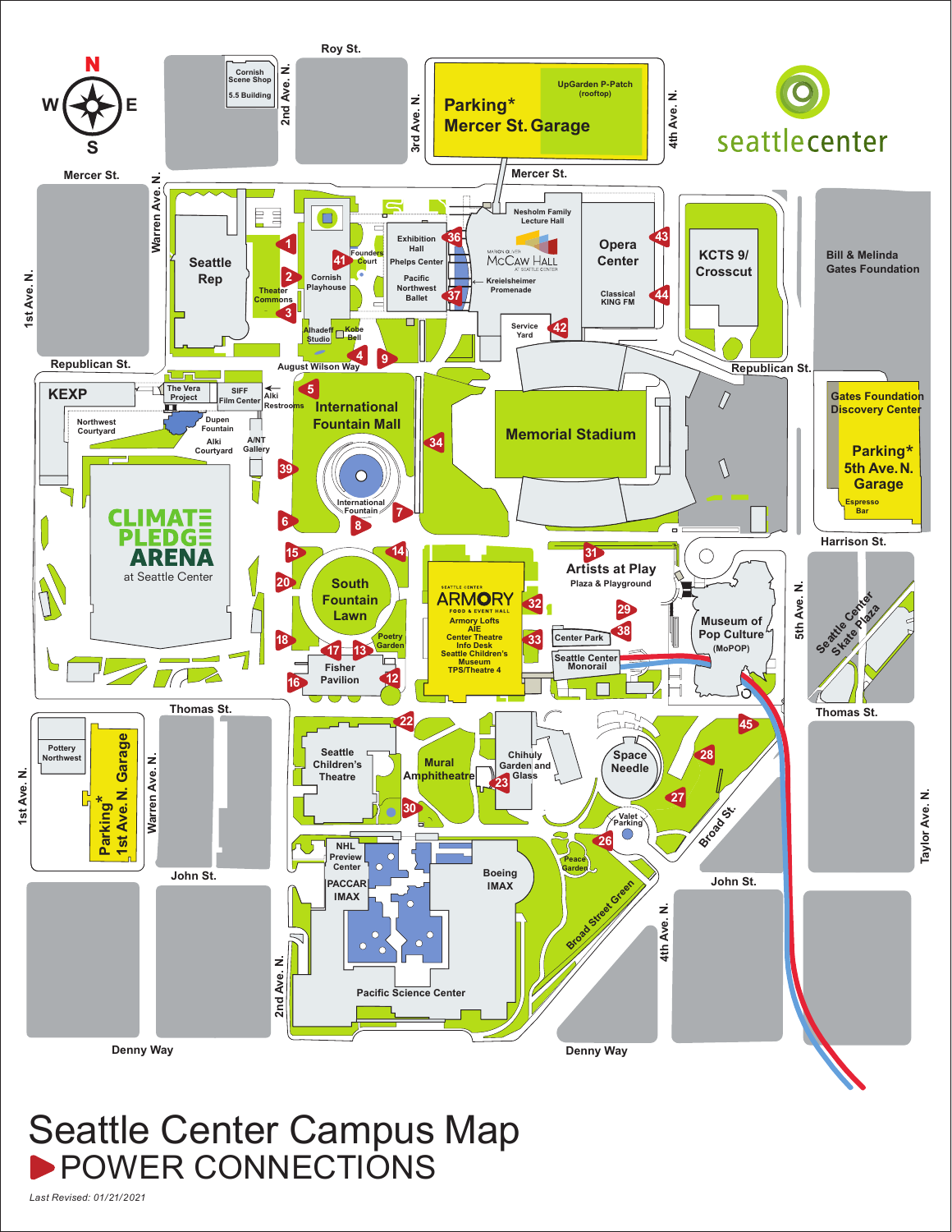

## Seattle Center Campus Map POWER CONNECTIONS

*Last Revised: 01/21/2021*